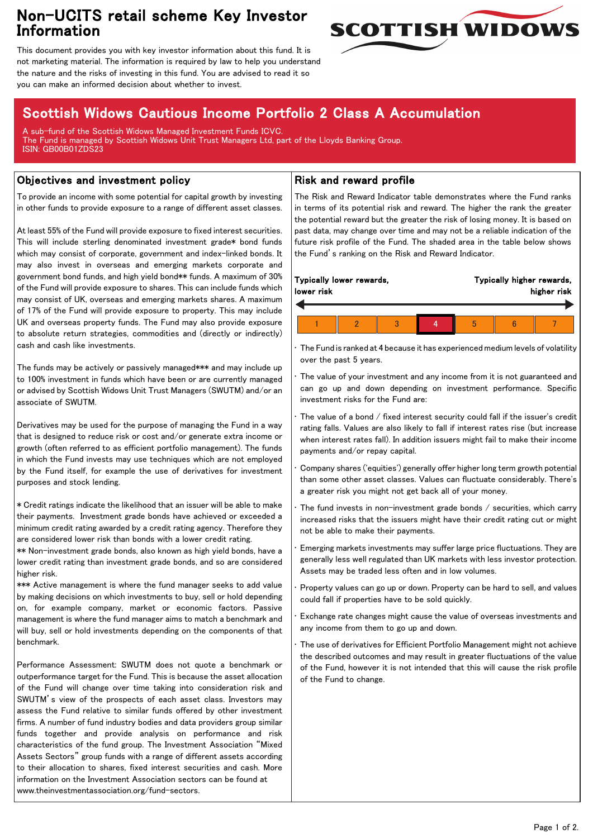## Non-UCITS retail scheme Key Investor Information



This document provides you with key investor information about this fund. It is not marketing material. The information is required by law to help you understand the nature and the risks of investing in this fund. You are advised to read it so you can make an informed decision about whether to invest.

# Scottish Widows Cautious Income Portfolio 2 Class A Accumulation

A sub-fund of the Scottish Widows Managed Investment Funds ICVC. The Fund is managed by Scottish Widows Unit Trust Managers Ltd, part of the Lloyds Banking Group. ISIN: GB00B01ZDS23

## Objectives and investment policy

To provide an income with some potential for capital growth by investing in other funds to provide exposure to a range of different asset classes.

At least 55% of the Fund will provide exposure to fixed interest securities. This will include sterling denominated investment grade\* bond funds which may consist of corporate, government and index-linked bonds. It may also invest in overseas and emerging markets corporate and government bond funds, and high yield bond\*\* funds. A maximum of 30% of the Fund will provide exposure to shares. This can include funds which may consist of UK, overseas and emerging markets shares. A maximum of 17% of the Fund will provide exposure to property. This may include UK and overseas property funds. The Fund may also provide exposure to absolute return strategies, commodities and (directly or indirectly) cash and cash like investments.

The funds may be actively or passively managed\*\*\* and may include up to 100% investment in funds which have been or are currently managed or advised by Scottish Widows Unit Trust Managers (SWUTM) and/or an associate of SWUTM.

Derivatives may be used for the purpose of managing the Fund in a way that is designed to reduce risk or cost and/or generate extra income or growth (often referred to as efficient portfolio management). The funds in which the Fund invests may use techniques which are not employed by the Fund itself, for example the use of derivatives for investment purposes and stock lending.

\* Credit ratings indicate the likelihood that an issuer will be able to make their payments. Investment grade bonds have achieved or exceeded a minimum credit rating awarded by a credit rating agency. Therefore they are considered lower risk than bonds with a lower credit rating.

\*\* Non-investment grade bonds, also known as high yield bonds, have a lower credit rating than investment grade bonds, and so are considered higher risk.

\*\*\* Active management is where the fund manager seeks to add value by making decisions on which investments to buy, sell or hold depending on, for example company, market or economic factors. Passive management is where the fund manager aims to match a benchmark and will buy, sell or hold investments depending on the components of that benchmark.

Performance Assessment: SWUTM does not quote a benchmark or outperformance target for the Fund. This is because the asset allocation of the Fund will change over time taking into consideration risk and SWUTM's view of the prospects of each asset class. Investors may assess the Fund relative to similar funds offered by other investment firms. A number of fund industry bodies and data providers group similar funds together and provide analysis on performance and risk characteristics of the fund group. The Investment Association "Mixed Assets Sectors" group funds with a range of different assets according to their allocation to shares, fixed interest securities and cash. More information on the Investment Association sectors can be found at www.theinvestmentassociation.org/fund-sectors.

### Risk and reward profile

The Risk and Reward Indicator table demonstrates where the Fund ranks in terms of its potential risk and reward. The higher the rank the greater the potential reward but the greater the risk of losing money. It is based on past data, may change over time and may not be a reliable indication of the future risk profile of the Fund. The shaded area in the table below shows the Fund's ranking on the Risk and Reward Indicator.

| Typically lower rewards,<br>Typically higher rewards,<br>lower risk |  |  |  |  | higher risk |  |
|---------------------------------------------------------------------|--|--|--|--|-------------|--|
|                                                                     |  |  |  |  |             |  |
|                                                                     |  |  |  |  |             |  |

• The Fund is ranked at 4 because it has experienced medium levels of volatility over the past 5 years.

The value of your investment and any income from it is not guaranteed and can go up and down depending on investment performance. Specific investment risks for the Fund are:

• The value of a bond / fixed interest security could fall if the issuer's credit rating falls. Values are also likely to fall if interest rates rise (but increase when interest rates fall). In addition issuers might fail to make their income payments and/or repay capital.

• Company shares ('equities') generally offer higher long term growth potential than some other asset classes. Values can fluctuate considerably. There's a greater risk you might not get back all of your money.

The fund invests in non-investment grade bonds  $/$  securities, which carry increased risks that the issuers might have their credit rating cut or might not be able to make their payments.

• Emerging markets investments may suffer large price fluctuations. They are generally less well regulated than UK markets with less investor protection. Assets may be traded less often and in low volumes.

• Property values can go up or down. Property can be hard to sell, and values could fall if properties have to be sold quickly.

• Exchange rate changes might cause the value of overseas investments and any income from them to go up and down.

The use of derivatives for Efficient Portfolio Management might not achieve the described outcomes and may result in greater fluctuations of the value of the Fund, however it is not intended that this will cause the risk profile of the Fund to change.